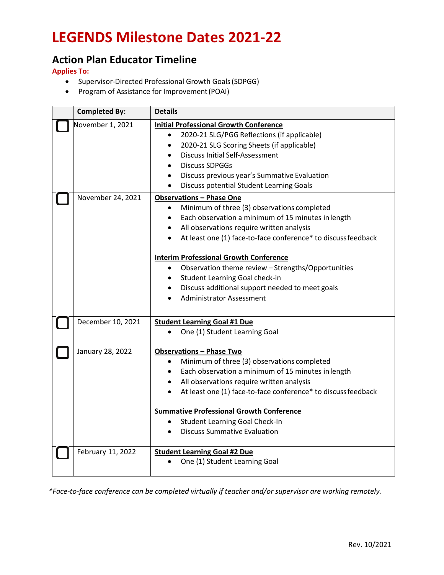### **Action Plan Educator Timeline**

**Applies To:**

- Supervisor-Directed Professional Growth Goals(SDPGG)
- Program of Assistance for Improvement(POAI)

| <b>Completed By:</b> | <b>Details</b>                                                                                                                                                                                                                                                                                                                                                                                                                       |
|----------------------|--------------------------------------------------------------------------------------------------------------------------------------------------------------------------------------------------------------------------------------------------------------------------------------------------------------------------------------------------------------------------------------------------------------------------------------|
| November 1, 2021     | <b>Initial Professional Growth Conference</b><br>2020-21 SLG/PGG Reflections (if applicable)<br>$\bullet$<br>2020-21 SLG Scoring Sheets (if applicable)<br>$\bullet$<br><b>Discuss Initial Self-Assessment</b><br>$\bullet$<br><b>Discuss SDPGGs</b><br>$\bullet$<br>Discuss previous year's Summative Evaluation<br>$\bullet$<br>Discuss potential Student Learning Goals                                                           |
| November 24, 2021    | <b>Observations - Phase One</b><br>Minimum of three (3) observations completed<br>$\bullet$<br>Each observation a minimum of 15 minutes in length<br>$\bullet$<br>All observations require written analysis<br>$\bullet$<br>At least one (1) face-to-face conference* to discuss feedback<br>$\bullet$                                                                                                                               |
|                      | <b>Interim Professional Growth Conference</b><br>Observation theme review - Strengths/Opportunities<br>$\bullet$<br>Student Learning Goal check-in<br>$\bullet$<br>Discuss additional support needed to meet goals<br>$\bullet$<br><b>Administrator Assessment</b>                                                                                                                                                                   |
| December 10, 2021    | <b>Student Learning Goal #1 Due</b><br>One (1) Student Learning Goal<br>$\bullet$                                                                                                                                                                                                                                                                                                                                                    |
| January 28, 2022     | <b>Observations - Phase Two</b><br>Minimum of three (3) observations completed<br>$\bullet$<br>Each observation a minimum of 15 minutes in length<br>$\bullet$<br>• All observations require written analysis<br>At least one (1) face-to-face conference* to discuss feedback<br>$\bullet$<br><b>Summative Professional Growth Conference</b><br>Student Learning Goal Check-In<br>$\bullet$<br><b>Discuss Summative Evaluation</b> |
| February 11, 2022    | <b>Student Learning Goal #2 Due</b><br>One (1) Student Learning Goal                                                                                                                                                                                                                                                                                                                                                                 |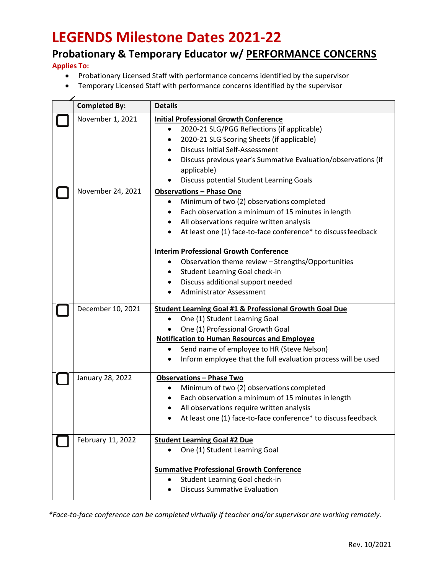### **Probationary & Temporary Educator w/ PERFORMANCE CONCERNS**

**Applies To:**

- Probationary Licensed Staff with performance concerns identified by the supervisor
- Temporary Licensed Staff with performance concerns identified by the supervisor

| <b>Completed By:</b> | <b>Details</b>                                                     |
|----------------------|--------------------------------------------------------------------|
| November 1, 2021     | <b>Initial Professional Growth Conference</b>                      |
|                      | 2020-21 SLG/PGG Reflections (if applicable)<br>$\bullet$           |
|                      | 2020-21 SLG Scoring Sheets (if applicable)<br>$\bullet$            |
|                      | <b>Discuss Initial Self-Assessment</b>                             |
|                      | Discuss previous year's Summative Evaluation/observations (if      |
|                      | applicable)                                                        |
|                      | Discuss potential Student Learning Goals                           |
| November 24, 2021    | <b>Observations - Phase One</b>                                    |
|                      | Minimum of two (2) observations completed                          |
|                      | Each observation a minimum of 15 minutes in length<br>$\bullet$    |
|                      | All observations require written analysis<br>$\bullet$             |
|                      | At least one (1) face-to-face conference* to discuss feedback      |
|                      | <b>Interim Professional Growth Conference</b>                      |
|                      | Observation theme review - Strengths/Opportunities<br>٠            |
|                      | Student Learning Goal check-in<br>٠                                |
|                      | Discuss additional support needed                                  |
|                      | <b>Administrator Assessment</b>                                    |
|                      |                                                                    |
| December 10, 2021    | <b>Student Learning Goal #1 &amp; Professional Growth Goal Due</b> |
|                      | One (1) Student Learning Goal<br>$\bullet$                         |
|                      | One (1) Professional Growth Goal                                   |
|                      | <b>Notification to Human Resources and Employee</b>                |
|                      | Send name of employee to HR (Steve Nelson)<br>$\bullet$            |
|                      | Inform employee that the full evaluation process will be used      |
| January 28, 2022     | <b>Observations - Phase Two</b>                                    |
|                      | Minimum of two (2) observations completed<br>٠                     |
|                      | Each observation a minimum of 15 minutes in length                 |
|                      | All observations require written analysis                          |
|                      | At least one (1) face-to-face conference* to discuss feedback      |
|                      |                                                                    |
| February 11, 2022    | <b>Student Learning Goal #2 Due</b>                                |
|                      | One (1) Student Learning Goal                                      |
|                      |                                                                    |
|                      | <b>Summative Professional Growth Conference</b>                    |
|                      | Student Learning Goal check-in                                     |
|                      | <b>Discuss Summative Evaluation</b>                                |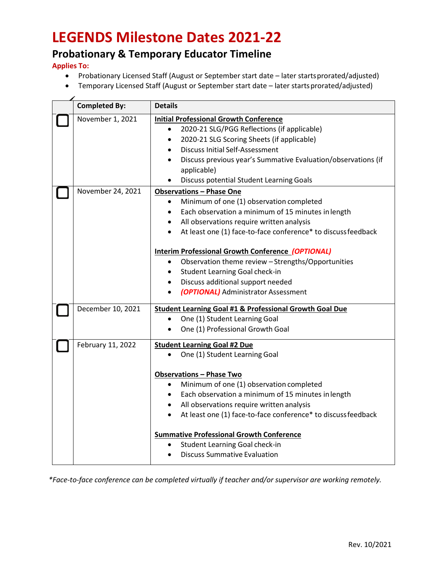### **Probationary & Temporary Educator Timeline**

**Applies To:**

- Probationary Licensed Staff (August or September start date later startsprorated/adjusted)
- Temporary Licensed Staff (August or September start date later startsprorated/adjusted)

| <b>Completed By:</b> | <b>Details</b>                                                             |
|----------------------|----------------------------------------------------------------------------|
| November 1, 2021     | <b>Initial Professional Growth Conference</b>                              |
|                      | 2020-21 SLG/PGG Reflections (if applicable)<br>$\bullet$                   |
|                      | 2020-21 SLG Scoring Sheets (if applicable)<br>$\bullet$                    |
|                      | <b>Discuss Initial Self-Assessment</b><br>$\bullet$                        |
|                      | Discuss previous year's Summative Evaluation/observations (if<br>$\bullet$ |
|                      | applicable)                                                                |
|                      | Discuss potential Student Learning Goals                                   |
| November 24, 2021    | <b>Observations - Phase One</b>                                            |
|                      | Minimum of one (1) observation completed<br>$\bullet$                      |
|                      | Each observation a minimum of 15 minutes in length                         |
|                      | All observations require written analysis                                  |
|                      | At least one (1) face-to-face conference* to discuss feedback              |
|                      | <b>Interim Professional Growth Conference (OPTIONAL)</b>                   |
|                      | Observation theme review - Strengths/Opportunities<br>$\bullet$            |
|                      | Student Learning Goal check-in<br>$\bullet$                                |
|                      | Discuss additional support needed<br>$\bullet$                             |
|                      | (OPTIONAL) Administrator Assessment                                        |
| December 10, 2021    | <b>Student Learning Goal #1 &amp; Professional Growth Goal Due</b>         |
|                      | One (1) Student Learning Goal                                              |
|                      | One (1) Professional Growth Goal<br>$\bullet$                              |
| February 11, 2022    | <b>Student Learning Goal #2 Due</b>                                        |
|                      | One (1) Student Learning Goal<br>$\bullet$                                 |
|                      | <b>Observations - Phase Two</b>                                            |
|                      | Minimum of one (1) observation completed<br>$\bullet$                      |
|                      | Each observation a minimum of 15 minutes in length<br>$\bullet$            |
|                      | All observations require written analysis<br>$\bullet$                     |
|                      | At least one (1) face-to-face conference* to discuss feedback<br>$\bullet$ |
|                      | <b>Summative Professional Growth Conference</b>                            |
|                      | Student Learning Goal check-in<br>٠                                        |
|                      | <b>Discuss Summative Evaluation</b><br>$\bullet$                           |
|                      |                                                                            |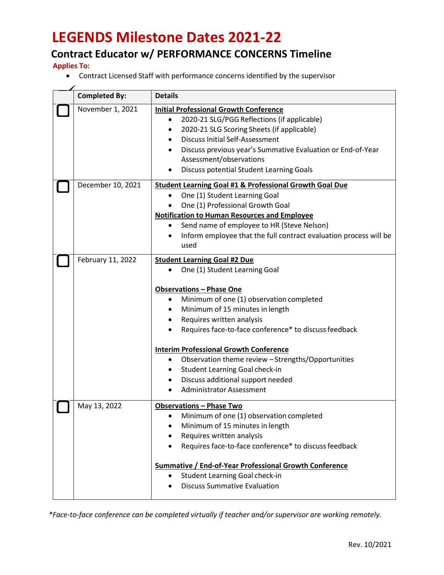### **Contract Educator w/ PERFORMANCE CONCERNS Timeline**

**Applies To:**

• Contract Licensed Staff with performance concerns identified by the supervisor

| <b>Completed By:</b> | <b>Details</b>                                                                                                                                                                                                                                                                                                                                                                                                                                                                                                                            |
|----------------------|-------------------------------------------------------------------------------------------------------------------------------------------------------------------------------------------------------------------------------------------------------------------------------------------------------------------------------------------------------------------------------------------------------------------------------------------------------------------------------------------------------------------------------------------|
| November 1, 2021     |                                                                                                                                                                                                                                                                                                                                                                                                                                                                                                                                           |
|                      | <b>Initial Professional Growth Conference</b><br>2020-21 SLG/PGG Reflections (if applicable)<br>٠<br>2020-21 SLG Scoring Sheets (if applicable)<br>٠<br><b>Discuss Initial Self-Assessment</b><br>$\bullet$<br>Discuss previous year's Summative Evaluation or End-of-Year<br>Assessment/observations<br><b>Discuss potential Student Learning Goals</b>                                                                                                                                                                                  |
| December 10, 2021    | <b>Student Learning Goal #1 &amp; Professional Growth Goal Due</b><br>One (1) Student Learning Goal<br>$\bullet$<br>One (1) Professional Growth Goal<br><b>Notification to Human Resources and Employee</b><br>Send name of employee to HR (Steve Nelson)<br>٠<br>Inform employee that the full contract evaluation process will be<br>used                                                                                                                                                                                               |
| February 11, 2022    | <b>Student Learning Goal #2 Due</b><br>One (1) Student Learning Goal<br><b>Observations - Phase One</b><br>Minimum of one (1) observation completed<br>٠<br>Minimum of 15 minutes in length<br>$\bullet$<br>Requires written analysis<br>Requires face-to-face conference* to discuss feedback<br><b>Interim Professional Growth Conference</b><br>Observation theme review - Strengths/Opportunities<br>$\bullet$<br>Student Learning Goal check-in<br>$\bullet$<br>Discuss additional support needed<br><b>Administrator Assessment</b> |
| May 13, 2022         | <b>Observations - Phase Two</b><br>Minimum of one (1) observation completed<br>Minimum of 15 minutes in length<br>Requires written analysis<br>Requires face-to-face conference* to discuss feedback<br><b>Summative / End-of-Year Professional Growth Conference</b><br>Student Learning Goal check-in<br><b>Discuss Summative Evaluation</b>                                                                                                                                                                                            |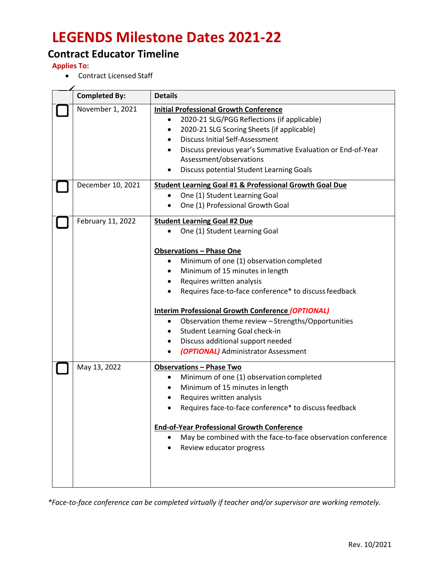### **Contract Educator Timeline**

**Applies To:**

• Contract Licensed Staff

| <b>Completed By:</b> | <b>Details</b>                                                                                                                                                                                                                                                                                                                                                                                                                                                            |
|----------------------|---------------------------------------------------------------------------------------------------------------------------------------------------------------------------------------------------------------------------------------------------------------------------------------------------------------------------------------------------------------------------------------------------------------------------------------------------------------------------|
| November 1, 2021     | <b>Initial Professional Growth Conference</b><br>2020-21 SLG/PGG Reflections (if applicable)<br>2020-21 SLG Scoring Sheets (if applicable)<br><b>Discuss Initial Self-Assessment</b><br>$\bullet$<br>Discuss previous year's Summative Evaluation or End-of-Year<br>Assessment/observations<br>Discuss potential Student Learning Goals                                                                                                                                   |
| December 10, 2021    | <b>Student Learning Goal #1 &amp; Professional Growth Goal Due</b><br>One (1) Student Learning Goal<br>$\bullet$<br>One (1) Professional Growth Goal<br>$\bullet$                                                                                                                                                                                                                                                                                                         |
| February 11, 2022    | <b>Student Learning Goal #2 Due</b><br>One (1) Student Learning Goal                                                                                                                                                                                                                                                                                                                                                                                                      |
|                      | <b>Observations - Phase One</b><br>Minimum of one (1) observation completed<br>Minimum of 15 minutes in length<br>Requires written analysis<br>$\bullet$<br>Requires face-to-face conference* to discuss feedback<br>Interim Professional Growth Conference (OPTIONAL)<br>Observation theme review - Strengths/Opportunities<br>$\bullet$<br>Student Learning Goal check-in<br>$\bullet$<br>Discuss additional support needed<br>٠<br>(OPTIONAL) Administrator Assessment |
| May 13, 2022         | <b>Observations - Phase Two</b><br>Minimum of one (1) observation completed<br>$\bullet$<br>Minimum of 15 minutes in length<br>Requires written analysis<br>Requires face-to-face conference* to discuss feedback<br><b>End-of-Year Professional Growth Conference</b><br>May be combined with the face-to-face observation conference<br>Review educator progress                                                                                                        |